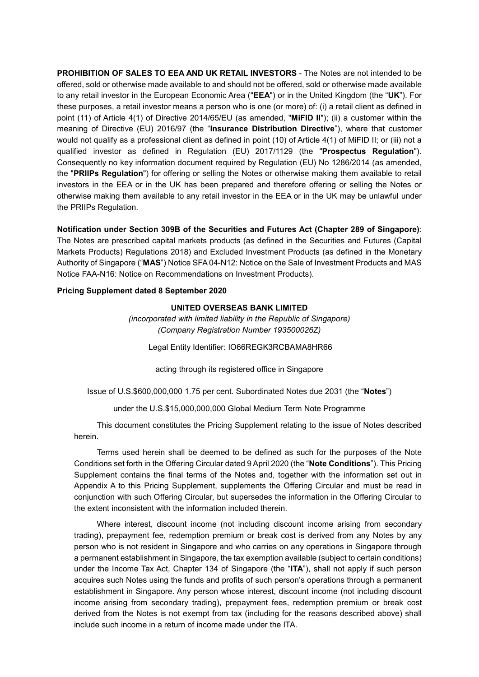**PROHIBITION OF SALES TO EEA AND UK RETAIL INVESTORS** - The Notes are not intended to be offered, sold or otherwise made available to and should not be offered, sold or otherwise made available to any retail investor in the European Economic Area ("**EEA**") or in the United Kingdom (the "**UK**"). For these purposes, a retail investor means a person who is one (or more) of: (i) a retail client as defined in point (11) of Article 4(1) of Directive 2014/65/EU (as amended, "**MiFID II**"); (ii) a customer within the meaning of Directive (EU) 2016/97 (the "**Insurance Distribution Directive**"), where that customer would not qualify as a professional client as defined in point (10) of Article 4(1) of MiFID II; or (iii) not a qualified investor as defined in Regulation (EU) 2017/1129 (the "**Prospectus Regulation**"). Consequently no key information document required by Regulation (EU) No 1286/2014 (as amended, the "**PRIIPs Regulation**") for offering or selling the Notes or otherwise making them available to retail investors in the EEA or in the UK has been prepared and therefore offering or selling the Notes or otherwise making them available to any retail investor in the EEA or in the UK may be unlawful under the PRIIPs Regulation.

**Notification under Section 309B of the Securities and Futures Act (Chapter 289 of Singapore)**:

The Notes are prescribed capital markets products (as defined in the Securities and Futures (Capital Markets Products) Regulations 2018) and Excluded Investment Products (as defined in the Monetary Authority of Singapore ("**MAS**") Notice SFA 04-N12: Notice on the Sale of Investment Products and MAS Notice FAA-N16: Notice on Recommendations on Investment Products).

### **Pricing Supplement dated 8 September 2020**

#### **UNITED OVERSEAS BANK LIMITED**

*(incorporated with limited liability in the Republic of Singapore) (Company Registration Number 193500026Z)*

Legal Entity Identifier: IO66REGK3RCBAMA8HR66

acting through its registered office in Singapore

Issue of U.S.\$600,000,000 1.75 per cent. Subordinated Notes due 2031 (the "**Notes**")

under the U.S.\$15,000,000,000 Global Medium Term Note Programme

This document constitutes the Pricing Supplement relating to the issue of Notes described herein.

Terms used herein shall be deemed to be defined as such for the purposes of the Note Conditions set forth in the Offering Circular dated 9 April 2020 (the "**Note Conditions**"). This Pricing Supplement contains the final terms of the Notes and, together with the information set out in Appendix A to this Pricing Supplement, supplements the Offering Circular and must be read in conjunction with such Offering Circular, but supersedes the information in the Offering Circular to the extent inconsistent with the information included therein.

Where interest, discount income (not including discount income arising from secondary trading), prepayment fee, redemption premium or break cost is derived from any Notes by any person who is not resident in Singapore and who carries on any operations in Singapore through a permanent establishment in Singapore, the tax exemption available (subject to certain conditions) under the Income Tax Act, Chapter 134 of Singapore (the "**ITA**"), shall not apply if such person acquires such Notes using the funds and profits of such person's operations through a permanent establishment in Singapore. Any person whose interest, discount income (not including discount income arising from secondary trading), prepayment fees, redemption premium or break cost derived from the Notes is not exempt from tax (including for the reasons described above) shall include such income in a return of income made under the ITA.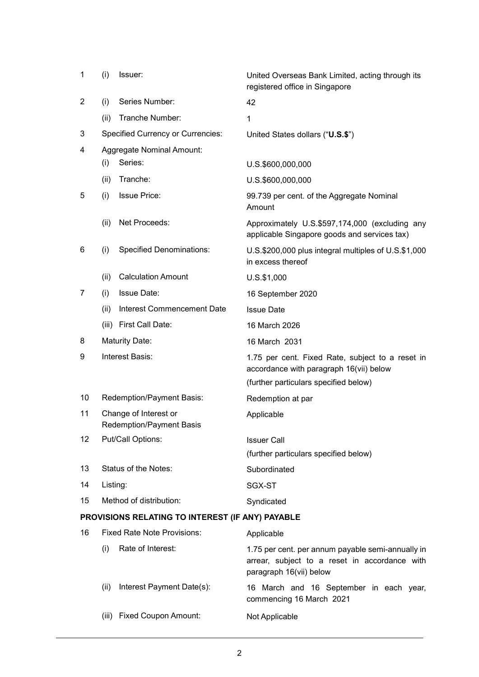| 1              | (i)                                | Issuer:                                                  | United Overseas Bank Limited, acting through its<br>registered office in Singapore                                                   |
|----------------|------------------------------------|----------------------------------------------------------|--------------------------------------------------------------------------------------------------------------------------------------|
| $\overline{2}$ | (i)                                | Series Number:                                           | 42                                                                                                                                   |
|                | (ii)                               | Tranche Number:                                          | $\mathbf{1}$                                                                                                                         |
| 3              |                                    | <b>Specified Currency or Currencies:</b>                 | United States dollars ("U.S.\$")                                                                                                     |
| 4              |                                    | Aggregate Nominal Amount:                                |                                                                                                                                      |
|                | (i)                                | Series:                                                  | U.S.\$600,000,000                                                                                                                    |
|                | (ii)                               | Tranche:                                                 | U.S.\$600,000,000                                                                                                                    |
| 5              | (i)                                | <b>Issue Price:</b>                                      | 99.739 per cent. of the Aggregate Nominal<br>Amount                                                                                  |
|                | (ii)                               | Net Proceeds:                                            | Approximately U.S.\$597,174,000 (excluding any<br>applicable Singapore goods and services tax)                                       |
| 6              | (i)                                | <b>Specified Denominations:</b>                          | U.S.\$200,000 plus integral multiples of U.S.\$1,000<br>in excess thereof                                                            |
|                | (ii)                               | <b>Calculation Amount</b>                                | $U.S.$ \$1,000                                                                                                                       |
| 7              | (i)                                | <b>Issue Date:</b>                                       | 16 September 2020                                                                                                                    |
|                | (ii)                               | <b>Interest Commencement Date</b>                        | <b>Issue Date</b>                                                                                                                    |
|                | (iii)                              | First Call Date:                                         | 16 March 2026                                                                                                                        |
| 8              |                                    | <b>Maturity Date:</b>                                    | 16 March 2031                                                                                                                        |
| 9              |                                    | Interest Basis:                                          | 1.75 per cent. Fixed Rate, subject to a reset in<br>accordance with paragraph 16(vii) below<br>(further particulars specified below) |
| 10             |                                    | Redemption/Payment Basis:                                | Redemption at par                                                                                                                    |
| 11             |                                    | Change of Interest or<br><b>Redemption/Payment Basis</b> | Applicable                                                                                                                           |
| 12             |                                    | Put/Call Options:                                        | <b>Issuer Call</b><br>(further particulars specified below)                                                                          |
| 13             |                                    | Status of the Notes:                                     | Subordinated                                                                                                                         |
| 14             | Listing:                           |                                                          | SGX-ST                                                                                                                               |
| 15             | Method of distribution:            |                                                          | Syndicated                                                                                                                           |
|                |                                    | PROVISIONS RELATING TO INTEREST (IF ANY) PAYABLE         |                                                                                                                                      |
| 16             | <b>Fixed Rate Note Provisions:</b> |                                                          | Applicable                                                                                                                           |
|                | (i)                                | Rate of Interest:                                        | 1.75 per cent. per annum payable semi-annually in<br>arrear, subject to a reset in accordance with                                   |

- (ii) Interest Payment Date(s): 16 March and 16 September in each year,
- (iii) Fixed Coupon Amount: Not Applicable

paragraph 16(vii) below

commencing 16 March 2021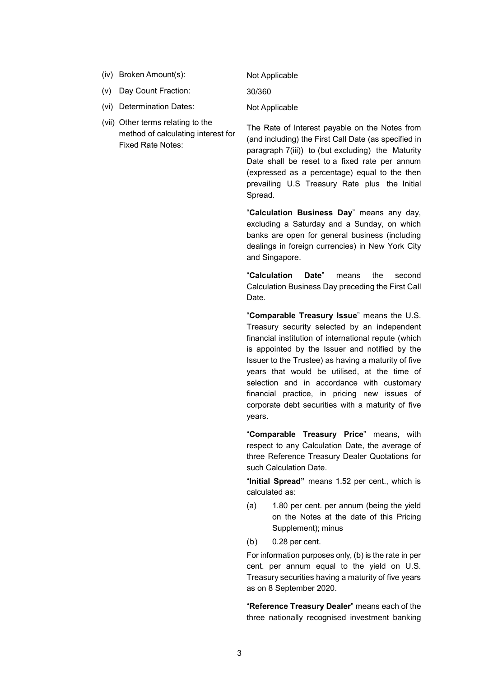- (iv) Broken Amount(s): Not Applicable
- (v) Day Count Fraction: 30/360
- (vi) Determination Dates: Not Applicable
- (vii) Other terms relating to the method of calculating interest for Fixed Rate Notes:

The Rate of Interest payable on the Notes from (and including) the First Call Date (as specified in paragraph 7(iii)) to (but excluding) the Maturity Date shall be reset to a fixed rate per annum (expressed as a percentage) equal to the then prevailing U.S Treasury Rate plus the Initial Spread.

"**Calculation Business Day**" means any day, excluding a Saturday and a Sunday, on which banks are open for general business (including dealings in foreign currencies) in New York City and Singapore.

"**Calculation Date**" means the second Calculation Business Day preceding the First Call Date.

"**Comparable Treasury Issue**" means the U.S. Treasury security selected by an independent financial institution of international repute (which is appointed by the Issuer and notified by the Issuer to the Trustee) as having a maturity of five years that would be utilised, at the time of selection and in accordance with customary financial practice, in pricing new issues of corporate debt securities with a maturity of five years.

"**Comparable Treasury Price**" means, with respect to any Calculation Date, the average of three Reference Treasury Dealer Quotations for such Calculation Date.

"**Initial Spread"** means 1.52 per cent., which is calculated as:

- (a) 1.80 per cent. per annum (being the yield on the Notes at the date of this Pricing Supplement); minus
- (b) 0.28 per cent.

For information purposes only, (b) is the rate in per cent. per annum equal to the yield on U.S. Treasury securities having a maturity of five years as on 8 September 2020.

"**Reference Treasury Dealer**" means each of the three nationally recognised investment banking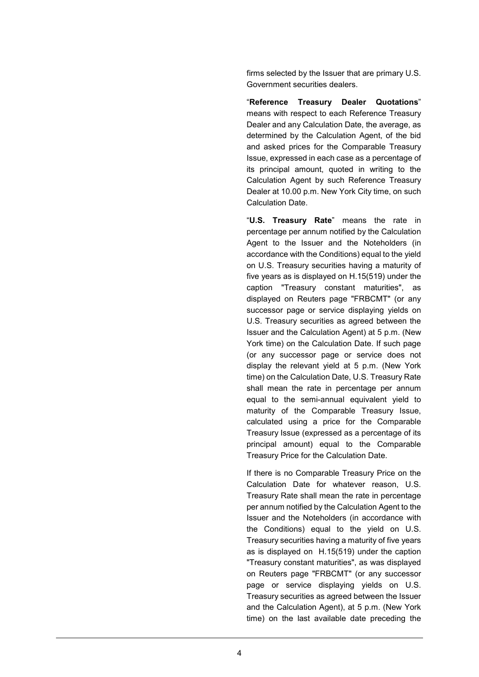firms selected by the Issuer that are primary U.S. Government securities dealers.

"**Reference Treasury Dealer Quotations**" means with respect to each Reference Treasury Dealer and any Calculation Date, the average, as determined by the Calculation Agent, of the bid and asked prices for the Comparable Treasury Issue, expressed in each case as a percentage of its principal amount, quoted in writing to the Calculation Agent by such Reference Treasury Dealer at 10.00 p.m. New York City time, on such Calculation Date.

"**U.S. Treasury Rate**" means the rate in percentage per annum notified by the Calculation Agent to the Issuer and the Noteholders (in accordance with the Conditions) equal to the yield on U.S. Treasury securities having a maturity of five years as is displayed on H.15(519) under the caption "Treasury constant maturities", as displayed on Reuters page "FRBCMT" (or any successor page or service displaying yields on U.S. Treasury securities as agreed between the Issuer and the Calculation Agent) at 5 p.m. (New York time) on the Calculation Date. If such page (or any successor page or service does not display the relevant yield at 5 p.m. (New York time) on the Calculation Date, U.S. Treasury Rate shall mean the rate in percentage per annum equal to the semi-annual equivalent yield to maturity of the Comparable Treasury Issue, calculated using a price for the Comparable Treasury Issue (expressed as a percentage of its principal amount) equal to the Comparable Treasury Price for the Calculation Date.

If there is no Comparable Treasury Price on the Calculation Date for whatever reason, U.S. Treasury Rate shall mean the rate in percentage per annum notified by the Calculation Agent to the Issuer and the Noteholders (in accordance with the Conditions) equal to the yield on U.S. Treasury securities having a maturity of five years as is displayed on H.15(519) under the caption "Treasury constant maturities", as was displayed on Reuters page "FRBCMT" (or any successor page or service displaying yields on U.S. Treasury securities as agreed between the Issuer and the Calculation Agent), at 5 p.m. (New York time) on the last available date preceding the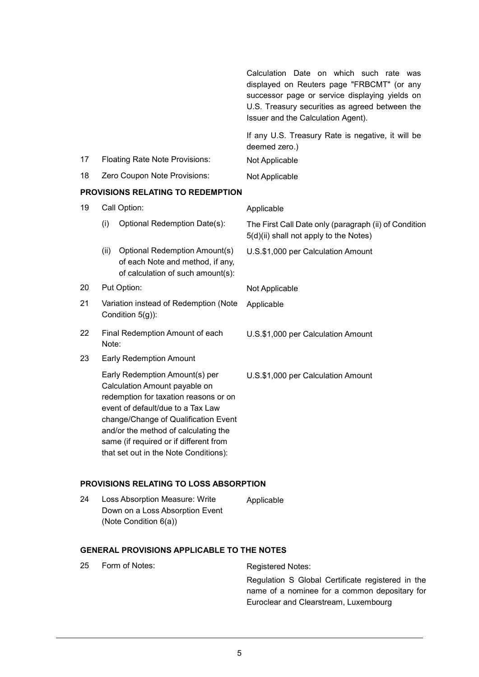Calculation Date on which such rate was displayed on Reuters page "FRBCMT" (or any successor page or service displaying yields on U.S. Treasury securities as agreed between the Issuer and the Calculation Agent). If any U.S. Treasury Rate is negative, it will be deemed zero.) 17 Floating Rate Note Provisions: Not Applicable 18 Zero Coupon Note Provisions: Not Applicable **PROVISIONS RELATING TO REDEMPTION** 19 Call Option: Applicable (i) Optional Redemption Date(s): The First Call Date only (paragraph (ii) of Condition 5(d)(ii) shall not apply to the Notes) (ii) Optional Redemption Amount(s) of each Note and method, if any, of calculation of such amount(s): U.S.\$1,000 per Calculation Amount 20 Put Option: Not Applicable 21 Variation instead of Redemption (Note Condition 5(g)): Applicable 22 Final Redemption Amount of each Note: U.S.\$1,000 per Calculation Amount 23 Early Redemption Amount Early Redemption Amount(s) per Calculation Amount payable on redemption for taxation reasons or on event of default/due to a Tax Law change/Change of Qualification Event and/or the method of calculating the same (if required or if different from that set out in the Note Conditions): U.S.\$1,000 per Calculation Amount

# **PROVISIONS RELATING TO LOSS ABSORPTION**

| 24 | Loss Absorption Measure: Write  | Applicable |
|----|---------------------------------|------------|
|    | Down on a Loss Absorption Event |            |
|    | (Note Condition $6(a)$ )        |            |

# **GENERAL PROVISIONS APPLICABLE TO THE NOTES**

| 25 | Form of Notes: | Registered Notes:                                                                                  |
|----|----------------|----------------------------------------------------------------------------------------------------|
|    |                | Regulation S Global Certificate registered in the<br>name of a nominee for a common depositary for |
|    |                | Euroclear and Clearstream, Luxembourg                                                              |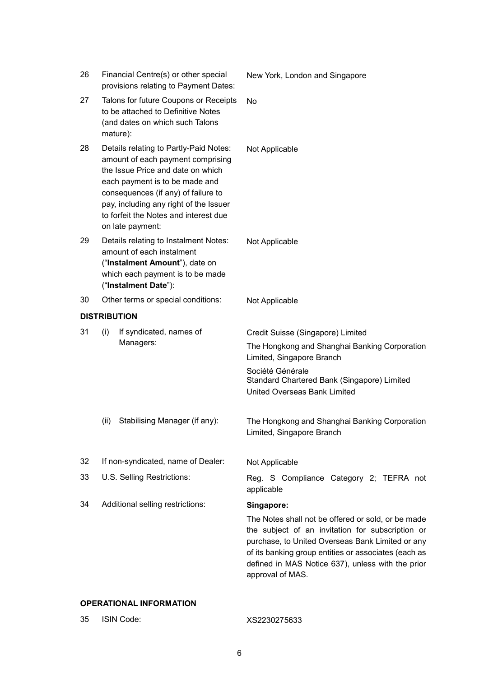| 26                  |                                                                                                                                                                                                                                                                                                  | Financial Centre(s) or other special<br>provisions relating to Payment Dates: | New York, London and Singapore                                                                                  |
|---------------------|--------------------------------------------------------------------------------------------------------------------------------------------------------------------------------------------------------------------------------------------------------------------------------------------------|-------------------------------------------------------------------------------|-----------------------------------------------------------------------------------------------------------------|
| 27                  | Talons for future Coupons or Receipts<br>to be attached to Definitive Notes<br>(and dates on which such Talons<br>mature):                                                                                                                                                                       |                                                                               | No                                                                                                              |
| 28                  | Details relating to Partly-Paid Notes:<br>amount of each payment comprising<br>the Issue Price and date on which<br>each payment is to be made and<br>consequences (if any) of failure to<br>pay, including any right of the Issuer<br>to forfeit the Notes and interest due<br>on late payment: |                                                                               | Not Applicable                                                                                                  |
| 29                  | Details relating to Instalment Notes:<br>amount of each instalment<br>("Instalment Amount"), date on<br>which each payment is to be made<br>("Instalment Date"):                                                                                                                                 |                                                                               | Not Applicable                                                                                                  |
| 30                  |                                                                                                                                                                                                                                                                                                  | Other terms or special conditions:                                            | Not Applicable                                                                                                  |
| <b>DISTRIBUTION</b> |                                                                                                                                                                                                                                                                                                  |                                                                               |                                                                                                                 |
| 31                  | (i)                                                                                                                                                                                                                                                                                              | If syndicated, names of<br>Managers:                                          | Credit Suisse (Singapore) Limited<br>The Hongkong and Shanghai Banking Corporation<br>Limited, Singapore Branch |
|                     |                                                                                                                                                                                                                                                                                                  |                                                                               | Société Générale<br>Standard Chartered Bank (Singapore) Limited<br>United Overseas Bank Limited                 |
|                     | (ii)                                                                                                                                                                                                                                                                                             | Stabilising Manager (if any):                                                 | The Hongkong and Shanghai Banking Corporation                                                                   |
|                     |                                                                                                                                                                                                                                                                                                  |                                                                               | Limited, Singapore Branch                                                                                       |
| 32                  |                                                                                                                                                                                                                                                                                                  | If non-syndicated, name of Dealer:                                            | Not Applicable                                                                                                  |
| 33                  |                                                                                                                                                                                                                                                                                                  | U.S. Selling Restrictions:                                                    | Reg. S Compliance Category 2; TEFRA not<br>applicable                                                           |

# **OPERATIONAL INFORMATION**

35 ISIN Code: XS2230275633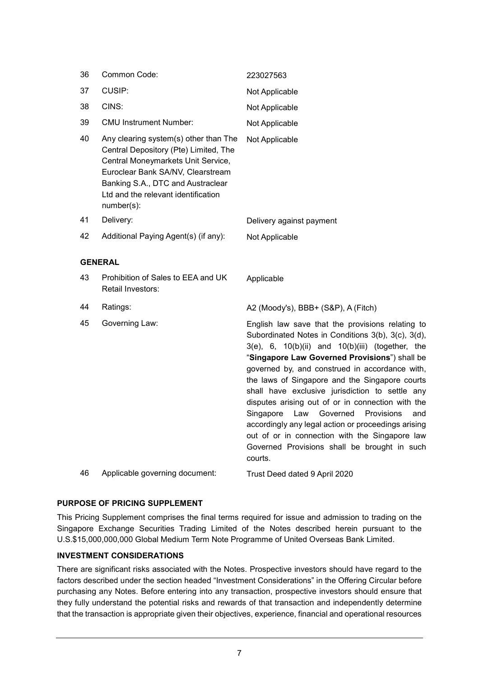| 36 | Common Code:                                                                                                                                                                                                                                        | 223027563                                                                                                                                                                                                                                                                                                                                                                                                                                                                                                                                                                                                                                            |
|----|-----------------------------------------------------------------------------------------------------------------------------------------------------------------------------------------------------------------------------------------------------|------------------------------------------------------------------------------------------------------------------------------------------------------------------------------------------------------------------------------------------------------------------------------------------------------------------------------------------------------------------------------------------------------------------------------------------------------------------------------------------------------------------------------------------------------------------------------------------------------------------------------------------------------|
| 37 | CUSIP:                                                                                                                                                                                                                                              | Not Applicable                                                                                                                                                                                                                                                                                                                                                                                                                                                                                                                                                                                                                                       |
| 38 | CINS:                                                                                                                                                                                                                                               | Not Applicable                                                                                                                                                                                                                                                                                                                                                                                                                                                                                                                                                                                                                                       |
| 39 | <b>CMU Instrument Number:</b>                                                                                                                                                                                                                       | Not Applicable                                                                                                                                                                                                                                                                                                                                                                                                                                                                                                                                                                                                                                       |
| 40 | Any clearing system(s) other than The<br>Central Depository (Pte) Limited, The<br>Central Moneymarkets Unit Service,<br>Euroclear Bank SA/NV, Clearstream<br>Banking S.A., DTC and Austraclear<br>Ltd and the relevant identification<br>number(s): | Not Applicable                                                                                                                                                                                                                                                                                                                                                                                                                                                                                                                                                                                                                                       |
| 41 | Delivery:                                                                                                                                                                                                                                           | Delivery against payment                                                                                                                                                                                                                                                                                                                                                                                                                                                                                                                                                                                                                             |
| 42 | Additional Paying Agent(s) (if any):                                                                                                                                                                                                                | Not Applicable                                                                                                                                                                                                                                                                                                                                                                                                                                                                                                                                                                                                                                       |
| 43 | <b>GENERAL</b><br>Prohibition of Sales to EEA and UK<br>Retail Investors:                                                                                                                                                                           | Applicable                                                                                                                                                                                                                                                                                                                                                                                                                                                                                                                                                                                                                                           |
| 44 | Ratings:                                                                                                                                                                                                                                            | A2 (Moody's), BBB+ (S&P), A (Fitch)                                                                                                                                                                                                                                                                                                                                                                                                                                                                                                                                                                                                                  |
| 45 | Governing Law:                                                                                                                                                                                                                                      | English law save that the provisions relating to<br>Subordinated Notes in Conditions 3(b), 3(c), 3(d),<br>$3(e)$ , 6, $10(b)(ii)$ and $10(b)(iii)$ (together, the<br>"Singapore Law Governed Provisions") shall be<br>governed by, and construed in accordance with,<br>the laws of Singapore and the Singapore courts<br>shall have exclusive jurisdiction to settle any<br>disputes arising out of or in connection with the<br>Law Governed<br>Provisions<br>Singapore<br>and<br>accordingly any legal action or proceedings arising<br>out of or in connection with the Singapore law<br>Governed Provisions shall be brought in such<br>courts. |
| 46 | Applicable governing document:                                                                                                                                                                                                                      | Trust Deed dated 9 April 2020                                                                                                                                                                                                                                                                                                                                                                                                                                                                                                                                                                                                                        |

# **PURPOSE OF PRICING SUPPLEMENT**

This Pricing Supplement comprises the final terms required for issue and admission to trading on the Singapore Exchange Securities Trading Limited of the Notes described herein pursuant to the U.S.\$15,000,000,000 Global Medium Term Note Programme of United Overseas Bank Limited.

#### **INVESTMENT CONSIDERATIONS**

There are significant risks associated with the Notes. Prospective investors should have regard to the factors described under the section headed "Investment Considerations" in the Offering Circular before purchasing any Notes. Before entering into any transaction, prospective investors should ensure that they fully understand the potential risks and rewards of that transaction and independently determine that the transaction is appropriate given their objectives, experience, financial and operational resources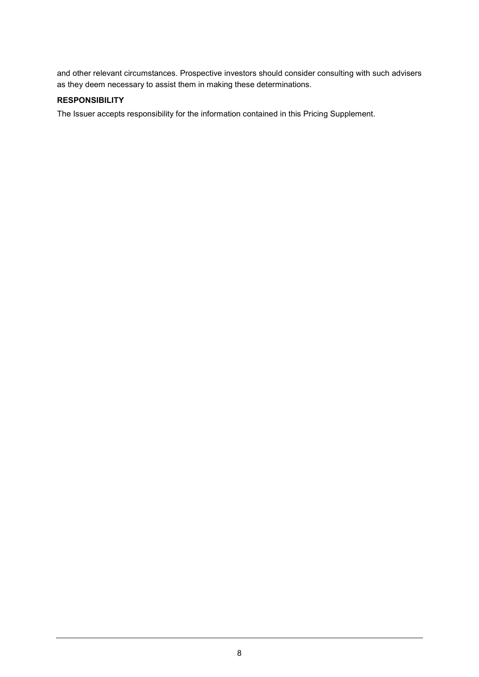and other relevant circumstances. Prospective investors should consider consulting with such advisers as they deem necessary to assist them in making these determinations.

# **RESPONSIBILITY**

The Issuer accepts responsibility for the information contained in this Pricing Supplement.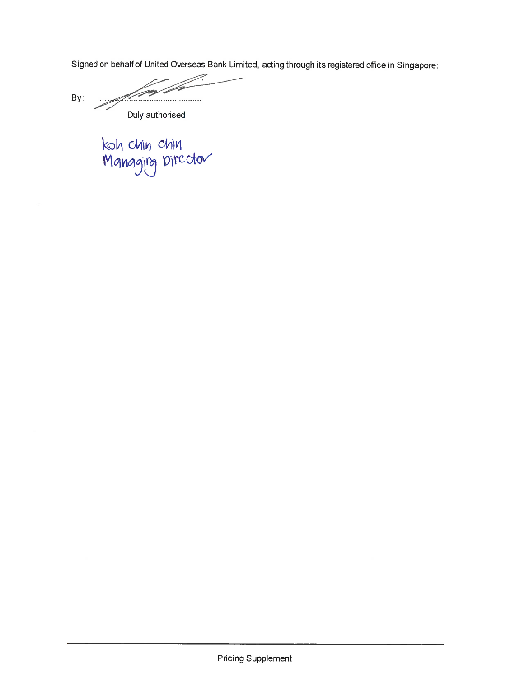Signed on behalf of United Overseas Bank Limited, acting through its registered office in Singapore:

 $By:$ Duly authorised

koh chin chin<br>Mgnggirg Director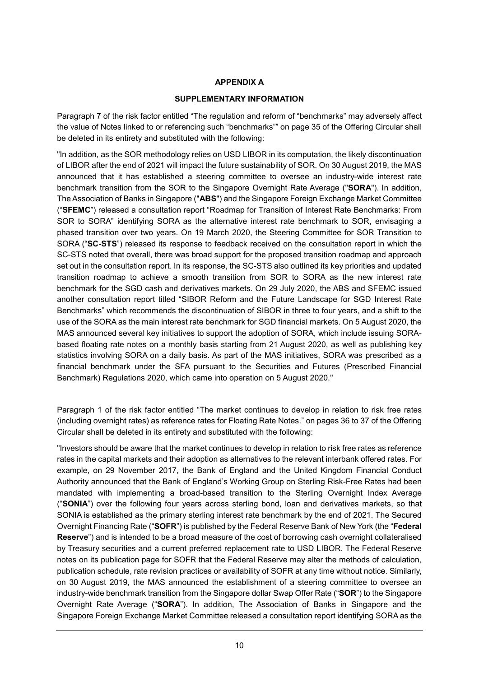# **APPENDIX A**

# **SUPPLEMENTARY INFORMATION**

Paragraph 7 of the risk factor entitled "The regulation and reform of "benchmarks" may adversely affect the value of Notes linked to or referencing such "benchmarks"" on page 35 of the Offering Circular shall be deleted in its entirety and substituted with the following:

"In addition, as the SOR methodology relies on USD LIBOR in its computation, the likely discontinuation of LIBOR after the end of 2021 will impact the future sustainability of SOR. On 30 August 2019, the MAS announced that it has established a steering committee to oversee an industry-wide interest rate benchmark transition from the SOR to the Singapore Overnight Rate Average ("**SORA**"). In addition, The Association of Banks in Singapore ("**ABS**") and the Singapore Foreign Exchange Market Committee ("**SFEMC**") released a consultation report "Roadmap for Transition of Interest Rate Benchmarks: From SOR to SORA" identifying SORA as the alternative interest rate benchmark to SOR, envisaging a phased transition over two years. On 19 March 2020, the Steering Committee for SOR Transition to SORA ("**SC-STS**") released its response to feedback received on the consultation report in which the SC-STS noted that overall, there was broad support for the proposed transition roadmap and approach set out in the consultation report. In its response, the SC-STS also outlined its key priorities and updated transition roadmap to achieve a smooth transition from SOR to SORA as the new interest rate benchmark for the SGD cash and derivatives markets. On 29 July 2020, the ABS and SFEMC issued another consultation report titled "SIBOR Reform and the Future Landscape for SGD Interest Rate Benchmarks" which recommends the discontinuation of SIBOR in three to four years, and a shift to the use of the SORA as the main interest rate benchmark for SGD financial markets. On 5 August 2020, the MAS announced several key initiatives to support the adoption of SORA, which include issuing SORAbased floating rate notes on a monthly basis starting from 21 August 2020, as well as publishing key statistics involving SORA on a daily basis. As part of the MAS initiatives, SORA was prescribed as a financial benchmark under the SFA pursuant to the Securities and Futures (Prescribed Financial Benchmark) Regulations 2020, which came into operation on 5 August 2020."

Paragraph 1 of the risk factor entitled "The market continues to develop in relation to risk free rates (including overnight rates) as reference rates for Floating Rate Notes." on pages 36 to 37 of the Offering Circular shall be deleted in its entirety and substituted with the following:

"Investors should be aware that the market continues to develop in relation to risk free rates as reference rates in the capital markets and their adoption as alternatives to the relevant interbank offered rates. For example, on 29 November 2017, the Bank of England and the United Kingdom Financial Conduct Authority announced that the Bank of England's Working Group on Sterling Risk-Free Rates had been mandated with implementing a broad-based transition to the Sterling Overnight Index Average ("**SONIA**") over the following four years across sterling bond, loan and derivatives markets, so that SONIA is established as the primary sterling interest rate benchmark by the end of 2021. The Secured Overnight Financing Rate ("**SOFR**") is published by the Federal Reserve Bank of New York (the "**Federal Reserve**") and is intended to be a broad measure of the cost of borrowing cash overnight collateralised by Treasury securities and a current preferred replacement rate to USD LIBOR. The Federal Reserve notes on its publication page for SOFR that the Federal Reserve may alter the methods of calculation, publication schedule, rate revision practices or availability of SOFR at any time without notice. Similarly, on 30 August 2019, the MAS announced the establishment of a steering committee to oversee an industry-wide benchmark transition from the Singapore dollar Swap Offer Rate ("**SOR**") to the Singapore Overnight Rate Average ("**SORA**"). In addition, The Association of Banks in Singapore and the Singapore Foreign Exchange Market Committee released a consultation report identifying SORA as the